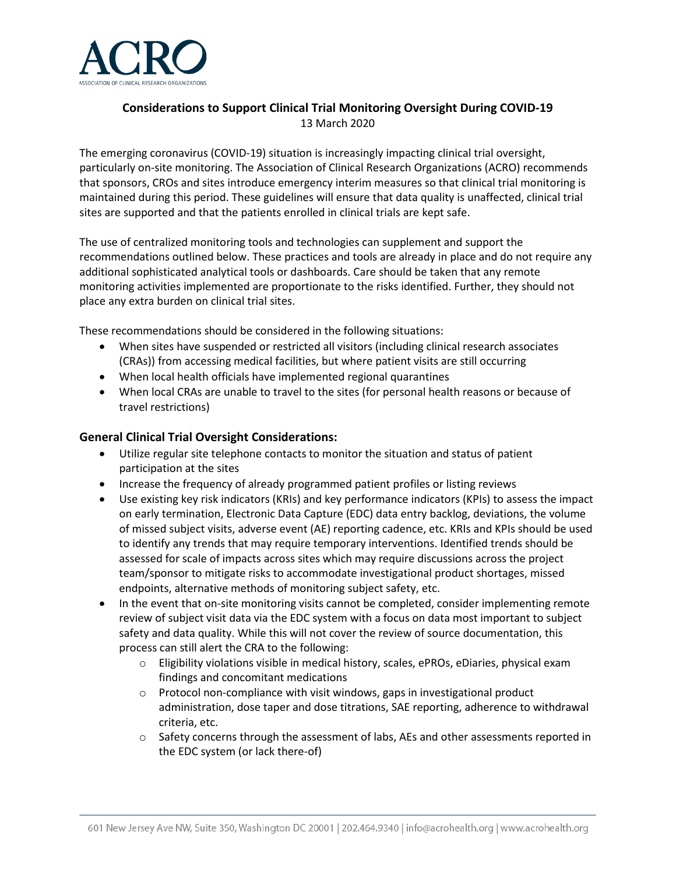

# **Considerations to Support Clinical Trial Monitoring Oversight During COVID-19** 13 March 2020

The emerging coronavirus (COVID-19) situation is increasingly impacting clinical trial oversight, particularly on-site monitoring. The Association of Clinical Research Organizations (ACRO) recommends that sponsors, CROs and sites introduce emergency interim measures so that clinical trial monitoring is maintained during this period. These guidelines will ensure that data quality is unaffected, clinical trial sites are supported and that the patients enrolled in clinical trials are kept safe.

The use of centralized monitoring tools and technologies can supplement and support the recommendations outlined below. These practices and tools are already in place and do not require any additional sophisticated analytical tools or dashboards. Care should be taken that any remote monitoring activities implemented are proportionate to the risks identified. Further, they should not place any extra burden on clinical trial sites.

These recommendations should be considered in the following situations:

- When sites have suspended or restricted all visitors (including clinical research associates (CRAs)) from accessing medical facilities, but where patient visits are still occurring
- When local health officials have implemented regional quarantines
- When local CRAs are unable to travel to the sites (for personal health reasons or because of travel restrictions)

### **General Clinical Trial Oversight Considerations:**

- Utilize regular site telephone contacts to monitor the situation and status of patient participation at the sites
- Increase the frequency of already programmed patient profiles or listing reviews
- Use existing key risk indicators (KRIs) and key performance indicators (KPIs) to assess the impact on early termination, Electronic Data Capture (EDC) data entry backlog, deviations, the volume of missed subject visits, adverse event (AE) reporting cadence, etc. KRIs and KPIs should be used to identify any trends that may require temporary interventions. Identified trends should be assessed for scale of impacts across sites which may require discussions across the project team/sponsor to mitigate risks to accommodate investigational product shortages, missed endpoints, alternative methods of monitoring subject safety, etc.
- In the event that on-site monitoring visits cannot be completed, consider implementing remote review of subject visit data via the EDC system with a focus on data most important to subject safety and data quality. While this will not cover the review of source documentation, this process can still alert the CRA to the following:
	- o Eligibility violations visible in medical history, scales, ePROs, eDiaries, physical exam findings and concomitant medications
	- o Protocol non-compliance with visit windows, gaps in investigational product administration, dose taper and dose titrations, SAE reporting, adherence to withdrawal criteria, etc.
	- $\circ$  Safety concerns through the assessment of labs, AEs and other assessments reported in the EDC system (or lack there-of)